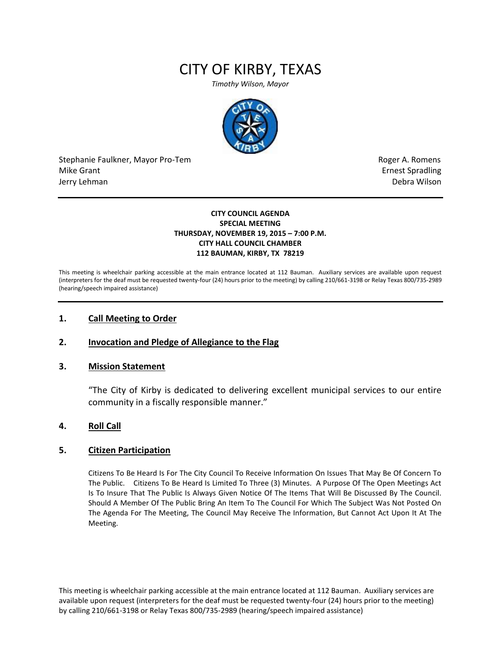# CITY OF KIRBY, TEXAS

*Timothy Wilson, Mayor*



Stephanie Faulkner, Mayor Pro-Tem **Roger A. Romens** Roger A. Romens Mike Grant **Example 2018** and the set of the set of the set of the set of the set of the set of the set of the set of the set of the set of the set of the set of the set of the set of the set of the set of the set of the s Jerry Lehman Debra Wilson

#### **CITY COUNCIL AGENDA SPECIAL MEETING THURSDAY, NOVEMBER 19, 2015 – 7:00 P.M. CITY HALL COUNCIL CHAMBER 112 BAUMAN, KIRBY, TX 78219**

This meeting is wheelchair parking accessible at the main entrance located at 112 Bauman. Auxiliary services are available upon request (interpreters for the deaf must be requested twenty-four (24) hours prior to the meeting) by calling 210/661-3198 or Relay Texas 800/735-2989 (hearing/speech impaired assistance)

#### **1. Call Meeting to Order**

## **2. Invocation and Pledge of Allegiance to the Flag**

#### **3. Mission Statement**

"The City of Kirby is dedicated to delivering excellent municipal services to our entire community in a fiscally responsible manner."

## **4. Roll Call**

## **5. Citizen Participation**

Citizens To Be Heard Is For The City Council To Receive Information On Issues That May Be Of Concern To The Public. Citizens To Be Heard Is Limited To Three (3) Minutes. A Purpose Of The Open Meetings Act Is To Insure That The Public Is Always Given Notice Of The Items That Will Be Discussed By The Council. Should A Member Of The Public Bring An Item To The Council For Which The Subject Was Not Posted On The Agenda For The Meeting, The Council May Receive The Information, But Cannot Act Upon It At The Meeting.

This meeting is wheelchair parking accessible at the main entrance located at 112 Bauman. Auxiliary services are available upon request (interpreters for the deaf must be requested twenty-four (24) hours prior to the meeting) by calling 210/661-3198 or Relay Texas 800/735-2989 (hearing/speech impaired assistance)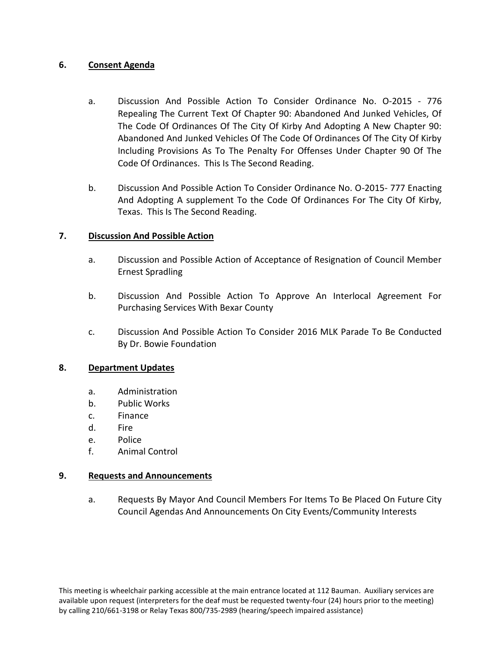# **6. Consent Agenda**

- a. Discussion And Possible Action To Consider Ordinance No. O-2015 776 Repealing The Current Text Of Chapter 90: Abandoned And Junked Vehicles, Of The Code Of Ordinances Of The City Of Kirby And Adopting A New Chapter 90: Abandoned And Junked Vehicles Of The Code Of Ordinances Of The City Of Kirby Including Provisions As To The Penalty For Offenses Under Chapter 90 Of The Code Of Ordinances. This Is The Second Reading.
- b. Discussion And Possible Action To Consider Ordinance No. O-2015- 777 Enacting And Adopting A supplement To the Code Of Ordinances For The City Of Kirby, Texas. This Is The Second Reading.

# **7. Discussion And Possible Action**

- a. Discussion and Possible Action of Acceptance of Resignation of Council Member Ernest Spradling
- b. Discussion And Possible Action To Approve An Interlocal Agreement For Purchasing Services With Bexar County
- c. Discussion And Possible Action To Consider 2016 MLK Parade To Be Conducted By Dr. Bowie Foundation

## **8. Department Updates**

- a. Administration
- b. Public Works
- c. Finance
- d. Fire
- e. Police
- f. Animal Control

## **9. Requests and Announcements**

a. Requests By Mayor And Council Members For Items To Be Placed On Future City Council Agendas And Announcements On City Events/Community Interests